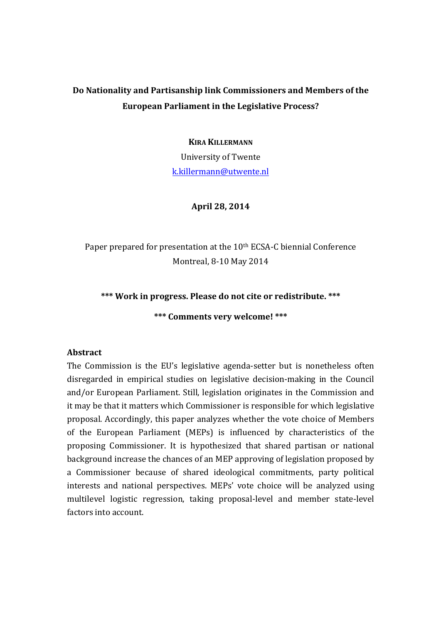## Do Nationality and Partisanship link Commissioners and Members of the **European Parliament in the Legislative Process?**

**KIRA KILLERMANN** University of Twente k.killermann@utwente.nl

### **April 28, 2014**

Paper prepared for presentation at the 10<sup>th</sup> ECSA-C biennial Conference Montreal, 8-10 May 2014

## \*\*\* Work in progress. Please do not cite or redistribute. \*\*\*

**\*\*\* Comments very welcome! \*\*\***

#### **Abstract**

The Commission is the EU's legislative agenda-setter but is nonetheless often disregarded in empirical studies on legislative decision-making in the Council and/or European Parliament. Still, legislation originates in the Commission and it may be that it matters which Commissioner is responsible for which legislative proposal. Accordingly, this paper analyzes whether the vote choice of Members of the European Parliament (MEPs) is influenced by characteristics of the proposing Commissioner. It is hypothesized that shared partisan or national background increase the chances of an MEP approving of legislation proposed by a Commissioner because of shared ideological commitments, party political interests and national perspectives. MEPs' vote choice will be analyzed using multilevel logistic regression, taking proposal-level and member state-level factors into account.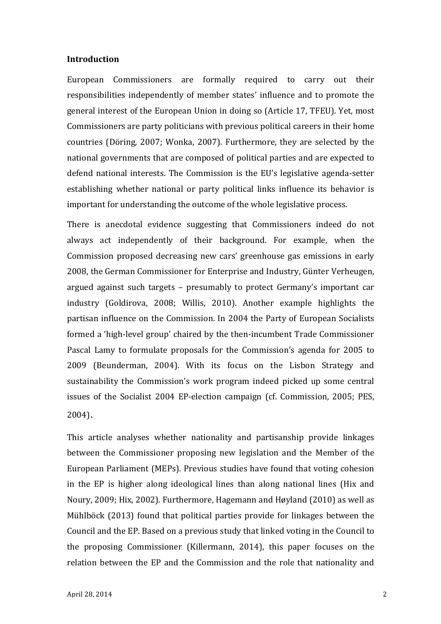#### **Introduction**

European Commissioners are formally required to carry out their responsibilities independently of member states' influence and to promote the general interest of the European Union in doing so (Article 17, TFEU). Yet, most Commissioners are party politicians with previous political careers in their home countries (Döring, 2007; Wonka, 2007). Furthermore, they are selected by the national governments that are composed of political parties and are expected to defend national interests. The Commission is the EU's legislative agenda-setter establishing whether national or party political links influence its behavior is important for understanding the outcome of the whole legislative process.

There is anecdotal evidence suggesting that Commissioners indeed do not always act independently of their background. For example, when the Commission proposed decreasing new cars' greenhouse gas emissions in early 2008, the German Commissioner for Enterprise and Industry, Günter Verheugen, argued against such targets – presumably to protect Germany's important car industry (Goldirova, 2008; Willis, 2010). Another example highlights the partisan influence on the Commission. In 2004 the Party of European Socialists formed a 'high-level group' chaired by the then-incumbent Trade Commissioner Pascal Lamy to formulate proposals for the Commission's agenda for 2005 to 2009 (Beunderman, 2004). With its focus on the Lisbon Strategy and sustainability the Commission's work program indeed picked up some central issues of the Socialist 2004 EP-election campaign (cf. Commission, 2005; PES, 2004).

This article analyses whether nationality and partisanship provide linkages between the Commissioner proposing new legislation and the Member of the European Parliament (MEPs). Previous studies have found that voting cohesion in the EP is higher along ideological lines than along national lines (Hix and Noury, 2009; Hix, 2002). Furthermore, Hagemann and Høyland (2010) as well as Mühlböck (2013) found that political parties provide for linkages between the Council and the EP. Based on a previous study that linked voting in the Council to the proposing Commissioner (Killermann, 2014), this paper focuses on the relation between the EP and the Commission and the role that nationality and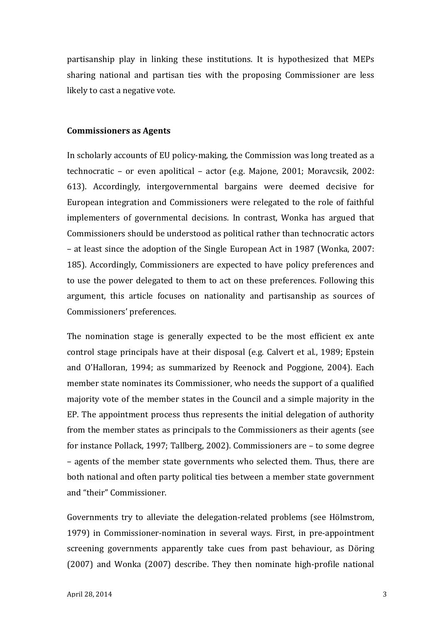partisanship play in linking these institutions. It is hypothesized that MEPs sharing national and partisan ties with the proposing Commissioner are less likely to cast a negative vote.

#### **Commissioners as Agents**

In scholarly accounts of EU policy-making, the Commission was long treated as a technocratic – or even apolitical – actor (e.g. Majone, 2001; Moravcsik, 2002: 613). Accordingly, intergovernmental bargains were deemed decisive for European integration and Commissioners were relegated to the role of faithful implementers of governmental decisions. In contrast, Wonka has argued that Commissioners should be understood as political rather than technocratic actors  $-$  at least since the adoption of the Single European Act in 1987 (Wonka, 2007: 185). Accordingly, Commissioners are expected to have policy preferences and to use the power delegated to them to act on these preferences. Following this argument, this article focuses on nationality and partisanship as sources of Commissioners' preferences.

The nomination stage is generally expected to be the most efficient ex ante control stage principals have at their disposal (e.g. Calvert et al., 1989; Epstein and O'Halloran, 1994; as summarized by Reenock and Poggione, 2004). Each member state nominates its Commissioner, who needs the support of a qualified majority vote of the member states in the Council and a simple majority in the EP. The appointment process thus represents the initial delegation of authority from the member states as principals to the Commissioners as their agents (see for instance Pollack, 1997; Tallberg, 2002). Commissioners are  $-$  to some degree – agents of the member state governments who selected them. Thus, there are both national and often party political ties between a member state government and "their" Commissioner. 

Governments try to alleviate the delegation-related problems (see Hölmstrom, 1979) in Commissioner-nomination in several ways. First, in pre-appointment screening governments apparently take cues from past behaviour, as Döring  $(2007)$  and Wonka  $(2007)$  describe. They then nominate high-profile national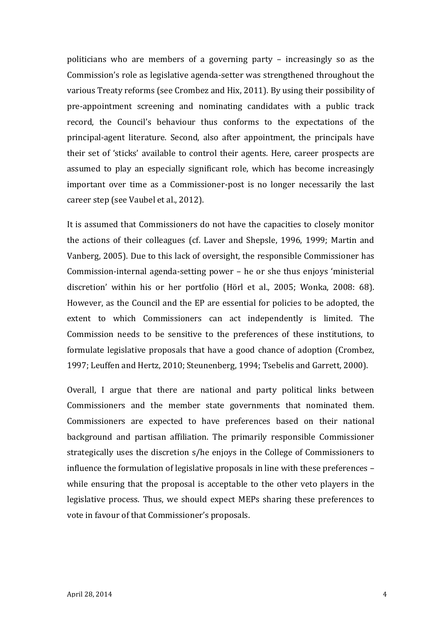politicians who are members of a governing party  $-$  increasingly so as the Commission's role as legislative agenda-setter was strengthened throughout the various Treaty reforms (see Crombez and Hix, 2011). By using their possibility of pre-appointment screening and nominating candidates with a public track record, the Council's behaviour thus conforms to the expectations of the principal-agent literature. Second, also after appointment, the principals have their set of 'sticks' available to control their agents. Here, career prospects are assumed to play an especially significant role, which has become increasingly important over time as a Commissioner-post is no longer necessarily the last career step (see Vaubel et al., 2012).

It is assumed that Commissioners do not have the capacities to closely monitor the actions of their colleagues (cf. Laver and Shepsle, 1996, 1999; Martin and Vanberg, 2005). Due to this lack of oversight, the responsible Commissioner has Commission-internal agenda-setting power  $-$  he or she thus enjoys 'ministerial discretion' within his or her portfolio (Hörl et al., 2005; Wonka, 2008: 68). However, as the Council and the EP are essential for policies to be adopted, the extent to which Commissioners can act independently is limited. The Commission needs to be sensitive to the preferences of these institutions, to formulate legislative proposals that have a good chance of adoption (Crombez, 1997; Leuffen and Hertz, 2010; Steunenberg, 1994; Tsebelis and Garrett, 2000).

Overall, I argue that there are national and party political links between Commissioners and the member state governments that nominated them. Commissioners are expected to have preferences based on their national background and partisan affiliation. The primarily responsible Commissioner strategically uses the discretion s/he enjoys in the College of Commissioners to influence the formulation of legislative proposals in line with these preferences – while ensuring that the proposal is acceptable to the other veto players in the legislative process. Thus, we should expect MEPs sharing these preferences to vote in favour of that Commissioner's proposals.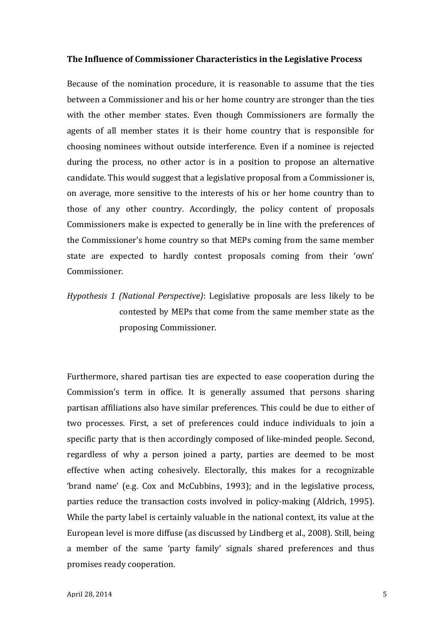#### **The Influence of Commissioner Characteristics in the Legislative Process**

Because of the nomination procedure, it is reasonable to assume that the ties between a Commissioner and his or her home country are stronger than the ties with the other member states. Even though Commissioners are formally the agents of all member states it is their home country that is responsible for choosing nominees without outside interference. Even if a nominee is rejected during the process, no other actor is in a position to propose an alternative candidate. This would suggest that a legislative proposal from a Commissioner is, on average, more sensitive to the interests of his or her home country than to those of any other country. Accordingly, the policy content of proposals Commissioners make is expected to generally be in line with the preferences of the Commissioner's home country so that MEPs coming from the same member state are expected to hardly contest proposals coming from their 'own' Commissioner.

*Hypothesis 1 (National Perspective)*: Legislative proposals are less likely to be contested by MEPs that come from the same member state as the proposing Commissioner.

Furthermore, shared partisan ties are expected to ease cooperation during the Commission's term in office. It is generally assumed that persons sharing partisan affiliations also have similar preferences. This could be due to either of two processes. First, a set of preferences could induce individuals to join a specific party that is then accordingly composed of like-minded people. Second, regardless of why a person joined a party, parties are deemed to be most effective when acting cohesively. Electorally, this makes for a recognizable 'brand name' (e.g. Cox and McCubbins, 1993); and in the legislative process, parties reduce the transaction costs involved in policy-making (Aldrich, 1995). While the party label is certainly valuable in the national context, its value at the European level is more diffuse (as discussed by Lindberg et al., 2008). Still, being a member of the same 'party family' signals shared preferences and thus promises ready cooperation.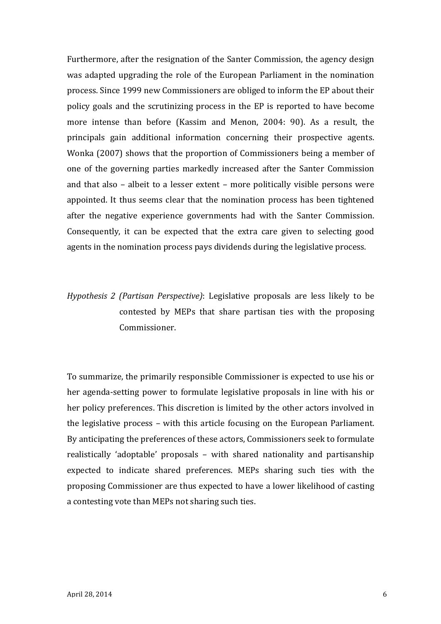Furthermore, after the resignation of the Santer Commission, the agency design was adapted upgrading the role of the European Parliament in the nomination process. Since 1999 new Commissioners are obliged to inform the EP about their policy goals and the scrutinizing process in the EP is reported to have become more intense than before (Kassim and Menon, 2004: 90). As a result, the principals gain additional information concerning their prospective agents. Wonka  $(2007)$  shows that the proportion of Commissioners being a member of one of the governing parties markedly increased after the Santer Commission and that also  $-$  albeit to a lesser extent  $-$  more politically visible persons were appointed. It thus seems clear that the nomination process has been tightened after the negative experience governments had with the Santer Commission. Consequently, it can be expected that the extra care given to selecting good agents in the nomination process pays dividends during the legislative process.

# *Hypothesis 2 (Partisan Perspective)*: Legislative proposals are less likely to be contested by MEPs that share partisan ties with the proposing Commissioner.

To summarize, the primarily responsible Commissioner is expected to use his or her agenda-setting power to formulate legislative proposals in line with his or her policy preferences. This discretion is limited by the other actors involved in the legislative process – with this article focusing on the European Parliament. By anticipating the preferences of these actors, Commissioners seek to formulate realistically 'adoptable' proposals – with shared nationality and partisanship expected to indicate shared preferences. MEPs sharing such ties with the proposing Commissioner are thus expected to have a lower likelihood of casting a contesting vote than MEPs not sharing such ties.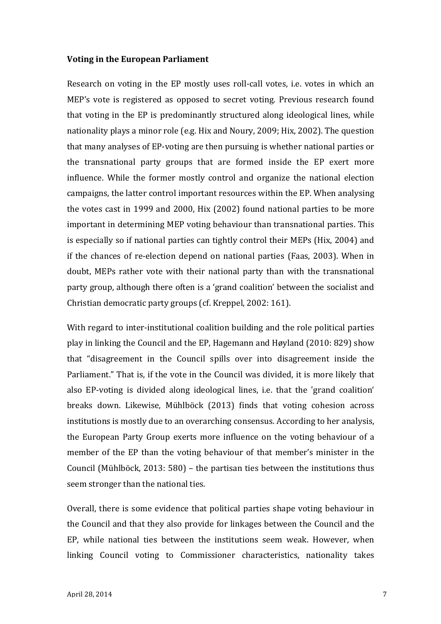#### **Voting in the European Parliament**

Research on voting in the EP mostly uses roll-call votes, i.e. votes in which an MEP's vote is registered as opposed to secret voting. Previous research found that voting in the EP is predominantly structured along ideological lines, while nationality plays a minor role (e.g. Hix and Noury, 2009; Hix, 2002). The question that many analyses of EP-voting are then pursuing is whether national parties or the transnational party groups that are formed inside the EP exert more influence. While the former mostly control and organize the national election campaigns, the latter control important resources within the EP. When analysing the votes cast in 1999 and 2000, Hix  $(2002)$  found national parties to be more important in determining MEP voting behaviour than transnational parties. This is especially so if national parties can tightly control their MEPs (Hix, 2004) and if the chances of re-election depend on national parties (Faas, 2003). When in doubt, MEPs rather vote with their national party than with the transnational party group, although there often is a 'grand coalition' between the socialist and Christian democratic party groups (cf. Kreppel, 2002: 161).

With regard to inter-institutional coalition building and the role political parties play in linking the Council and the EP, Hagemann and Høyland  $(2010: 829)$  show that "disagreement in the Council spills over into disagreement inside the Parliament." That is, if the vote in the Council was divided, it is more likely that also EP-voting is divided along ideological lines, i.e. that the 'grand coalition' breaks down. Likewise, Mühlböck (2013) finds that voting cohesion across institutions is mostly due to an overarching consensus. According to her analysis, the European Party Group exerts more influence on the voting behaviour of a member of the EP than the voting behaviour of that member's minister in the Council (Mühlböck, 2013: 580) – the partisan ties between the institutions thus seem stronger than the national ties.

Overall, there is some evidence that political parties shape voting behaviour in the Council and that they also provide for linkages between the Council and the EP, while national ties between the institutions seem weak. However, when linking Council voting to Commissioner characteristics, nationality takes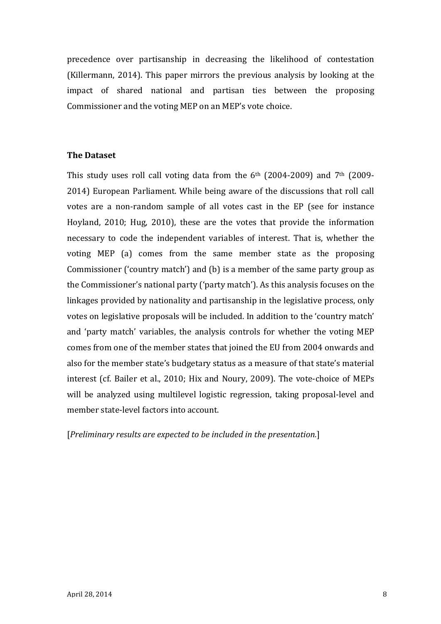precedence over partisanship in decreasing the likelihood of contestation (Killermann, 2014). This paper mirrors the previous analysis by looking at the impact of shared national and partisan ties between the proposing Commissioner and the voting MEP on an MEP's vote choice.

## **The Dataset**

This study uses roll call voting data from the  $6<sup>th</sup>$  (2004-2009) and  $7<sup>th</sup>$  (2009-2014) European Parliament. While being aware of the discussions that roll call votes are a non-random sample of all votes cast in the EP (see for instance Hoyland, 2010; Hug, 2010), these are the votes that provide the information necessary to code the independent variables of interest. That is, whether the voting MEP (a) comes from the same member state as the proposing Commissioner ('country match') and (b) is a member of the same party group as the Commissioner's national party ('party match'). As this analysis focuses on the linkages provided by nationality and partisanship in the legislative process, only votes on legislative proposals will be included. In addition to the 'country match' and 'party match' variables, the analysis controls for whether the voting MEP comes from one of the member states that joined the EU from 2004 onwards and also for the member state's budgetary status as a measure of that state's material interest (cf. Bailer et al., 2010; Hix and Noury, 2009). The vote-choice of MEPs will be analyzed using multilevel logistic regression, taking proposal-level and member state-level factors into account.

[*Preliminary results are expected to be included in the presentation.*]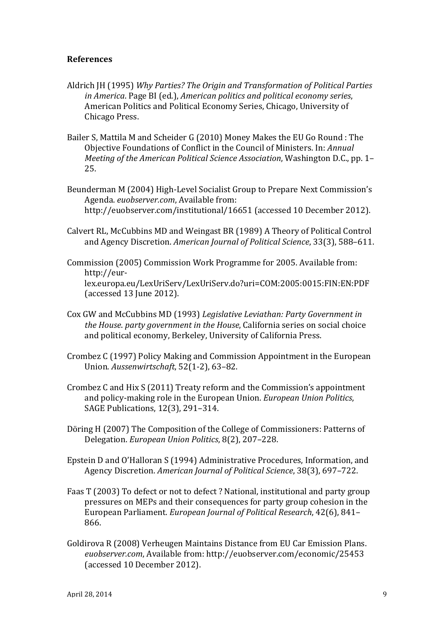## **References**

- Aldrich JH (1995) *Why Parties? The Origin and Transformation of Political Parties in America*. Page BI (ed.), *American politics and political economy series*, American Politics and Political Economy Series, Chicago, University of Chicago Press.
- Bailer S, Mattila M and Scheider G (2010) Money Makes the EU Go Round : The Objective Foundations of Conflict in the Council of Ministers. In: *Annual Meeting of the American Political Science Association*, Washington D.C., pp. 1– 25.
- Beunderman M (2004) High-Level Socialist Group to Prepare Next Commission's Agenda. *euobserver.com*. Available from: http://euobserver.com/institutional/16651 (accessed 10 December 2012).
- Calvert RL, McCubbins MD and Weingast BR (1989) A Theory of Political Control and Agency Discretion. *American Journal of Political Science*, 33(3), 588–611.
- Commission (2005) Commission Work Programme for 2005. Available from: http://eurlex.europa.eu/LexUriServ/LexUriServ.do?uri=COM:2005:0015:FIN:EN:PDF  $(accessed 13$  June  $2012$ ).
- Cox GW and McCubbins MD (1993) *Legislative Leviathan: Party Government in the House, party government in the House, California series* on social choice and political economy, Berkeley, University of California Press.
- Crombez C (1997) Policy Making and Commission Appointment in the European Union. *Aussenwirtschaft*, 52(1-2), 63–82.
- Crombez C and Hix S (2011) Treaty reform and the Commission's appointment and policy-making role in the European Union. *European Union Politics*, SAGE Publications, 12(3), 291-314.
- Döring H (2007) The Composition of the College of Commissioners: Patterns of Delegation. *European Union Politics*, 8(2), 207-228.
- Epstein D and O'Halloran S (1994) Administrative Procedures, Information, and Agency Discretion. American Journal of Political Science, 38(3), 697-722.
- Faas T (2003) To defect or not to defect ? National, institutional and party group pressures on MEPs and their consequences for party group cohesion in the European Parliament. *European Journal of Political Research*, 42(6), 841– 866.
- Goldirova R (2008) Verheugen Maintains Distance from EU Car Emission Plans. euobserver.com, Available from: http://euobserver.com/economic/25453 (accessed 10 December 2012).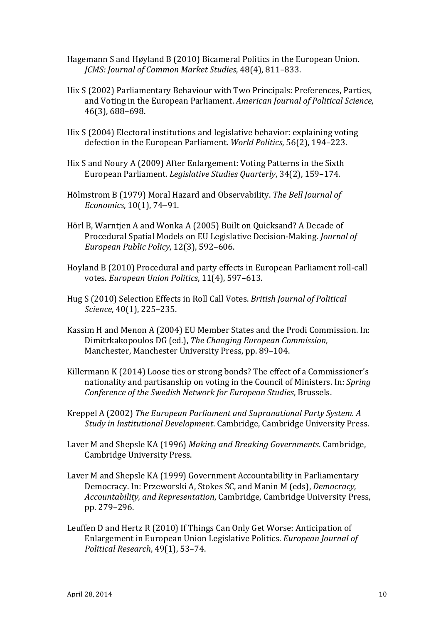- Hagemann S and Høyland B (2010) Bicameral Politics in the European Union. *JCMS: Journal of Common Market Studies, 48(4), 811-833.*
- Hix S (2002) Parliamentary Behaviour with Two Principals: Preferences, Parties, and Voting in the European Parliament. American Journal of Political Science, 46(3), 688–698.
- Hix S (2004) Electoral institutions and legislative behavior: explaining voting defection in the European Parliament. *World Politics*, 56(2), 194-223.
- Hix S and Noury A (2009) After Enlargement: Voting Patterns in the Sixth European Parliament. *Legislative Studies Quarterly*, 34(2), 159-174.
- Hölmstrom B (1979) Moral Hazard and Observability. The Bell Journal of *Economics*, 10(1), 74-91.
- Hörl B, Warntjen A and Wonka A (2005) Built on Quicksand? A Decade of Procedural Spatial Models on EU Legislative Decision-Making. *Journal of European Public Policy*, 12(3), 592–606.
- Hoyland B (2010) Procedural and party effects in European Parliament roll-call votes. *European Union Politics*, 11(4), 597-613.
- Hug S (2010) Selection Effects in Roll Call Votes. *British Journal of Political Science*, 40(1), 225-235.
- Kassim H and Menon A (2004) EU Member States and the Prodi Commission. In: Dimitrkakopoulos DG (ed.), *The Changing European Commission*, Manchester, Manchester University Press, pp. 89-104.
- Killermann  $K(2014)$  Loose ties or strong bonds? The effect of a Commissioner's nationality and partisanship on voting in the Council of Ministers. In: *Spring* Conference of the Swedish Network for European Studies, Brussels.
- Kreppel A (2002) *The European Parliament and Supranational Party System. A Study* in Institutional Development. Cambridge, Cambridge University Press.
- Laver M and Shepsle KA (1996) *Making and Breaking Governments*. Cambridge, Cambridge University Press.
- Laver M and Shepsle KA (1999) Government Accountability in Parliamentary Democracy. In: Przeworski A, Stokes SC, and Manin M (eds), *Democracy*, *Accountability, and Representation, Cambridge, Cambridge University Press,* pp. 279–296.
- Leuffen D and Hertz R  $(2010)$  If Things Can Only Get Worse: Anticipation of Enlargement in European Union Legislative Politics. *European Journal of Political Research*, 49(1), 53–74.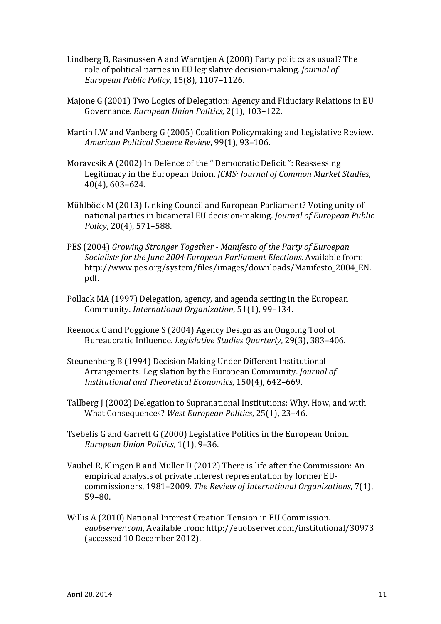- Lindberg B, Rasmussen A and Warntjen A (2008) Party politics as usual? The role of political parties in EU legislative decision-making. *Journal of European Public Policy*, 15(8), 1107–1126.
- Majone G (2001) Two Logics of Delegation: Agency and Fiduciary Relations in EU Governance. *European Union Politics*, 2(1), 103-122.
- Martin LW and Vanberg G (2005) Coalition Policymaking and Legislative Review. *American Political Science Review*, 99(1), 93–106.
- Moravcsik A (2002) In Defence of the " Democratic Deficit ": Reassessing Legitimacy in the European Union. *JCMS: Journal of Common Market Studies*, 40(4), 603–624.
- Mühlböck M (2013) Linking Council and European Parliament? Voting unity of national parties in bicameral EU decision-making. *Journal of European Public Policy*, 20(4), 571-588.
- PES (2004) *Growing Stronger Together Manifesto of the Party of Euroepan Socialists for the June 2004 European Parliament Elections.* Available from: http://www.pes.org/system/files/images/downloads/Manifesto\_2004\_EN. pdf.
- Pollack MA (1997) Delegation, agency, and agenda setting in the European Community. *International Organization*, 51(1), 99-134.
- Reenock C and Poggione S (2004) Agency Design as an Ongoing Tool of Bureaucratic Influence. *Legislative Studies Ouarterly*, 29(3), 383-406.
- Steunenberg B (1994) Decision Making Under Different Institutional Arrangements: Legislation by the European Community. *Journal of Institutional and Theoretical Economics*, 150(4), 642–669.
- Tallberg I (2002) Delegation to Supranational Institutions: Why, How, and with What Consequences? West European Politics, 25(1), 23-46.
- Tsebelis G and Garrett G (2000) Legislative Politics in the European Union. *European Union Politics*, 1(1), 9-36.
- Vaubel R, Klingen B and Müller D (2012) There is life after the Commission: An empirical analysis of private interest representation by former EUcommissioners, 1981–2009. *The Review of International Organizations*, 7(1), 59–80.
- Willis A (2010) National Interest Creation Tension in EU Commission. euobserver.com, Available from: http://euobserver.com/institutional/30973 (accessed 10 December 2012).